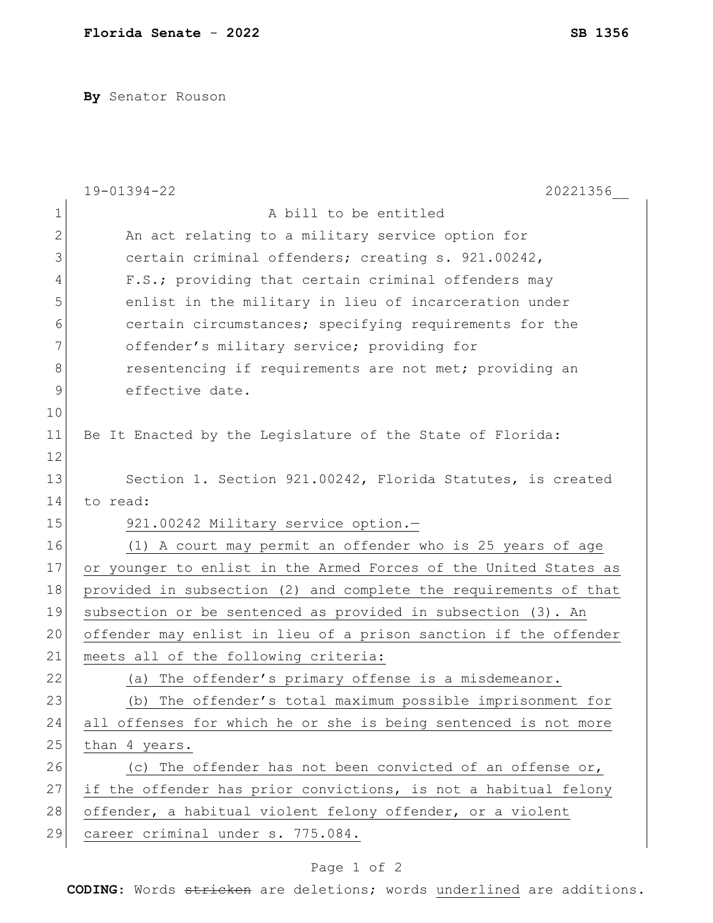**By** Senator Rouson

|              | 19-01394-22<br>20221356                                          |
|--------------|------------------------------------------------------------------|
| $\mathbf 1$  | A bill to be entitled                                            |
| $\mathbf{2}$ | An act relating to a military service option for                 |
| 3            | certain criminal offenders; creating s. 921.00242,               |
| 4            | F.S.; providing that certain criminal offenders may              |
| 5            | enlist in the military in lieu of incarceration under            |
| 6            | certain circumstances; specifying requirements for the           |
| 7            | offender's military service; providing for                       |
| 8            | resentencing if requirements are not met; providing an           |
| 9            | effective date.                                                  |
| 10           |                                                                  |
| 11           | Be It Enacted by the Legislature of the State of Florida:        |
| 12           |                                                                  |
| 13           | Section 1. Section 921.00242, Florida Statutes, is created       |
| 14           | to read:                                                         |
| 15           | 921.00242 Military service option.-                              |
| 16           | (1) A court may permit an offender who is 25 years of age        |
| 17           | or younger to enlist in the Armed Forces of the United States as |
| 18           | provided in subsection (2) and complete the requirements of that |
| 19           | subsection or be sentenced as provided in subsection (3). An     |
| 20           | offender may enlist in lieu of a prison sanction if the offender |
| 21           | meets all of the following criteria:                             |
| 22           | The offender's primary offense is a misdemeanor.<br>(a)          |
| 23           | (b) The offender's total maximum possible imprisonment for       |
| 24           | all offenses for which he or she is being sentenced is not more  |
| 25           | than 4 years.                                                    |
| 26           | The offender has not been convicted of an offense or,<br>(C)     |
| 27           | if the offender has prior convictions, is not a habitual felony  |
| 28           | offender, a habitual violent felony offender, or a violent       |
| 29           | career criminal under s. 775.084.                                |

## Page 1 of 2

**CODING**: Words stricken are deletions; words underlined are additions.